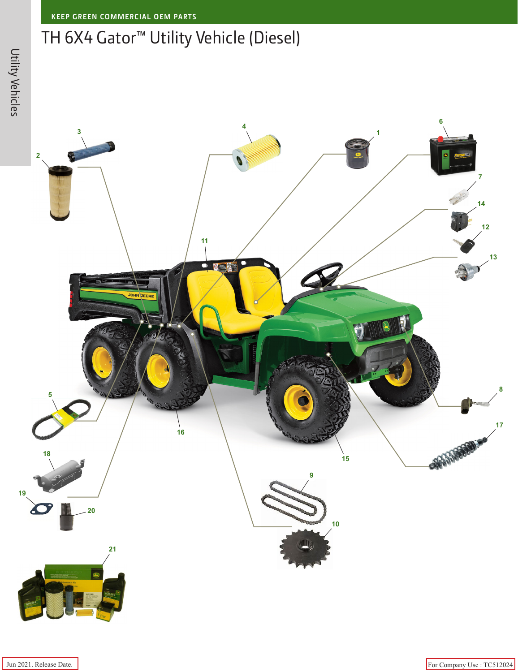## TH 6X4 Gator™ Utility Vehicle (Diesel)